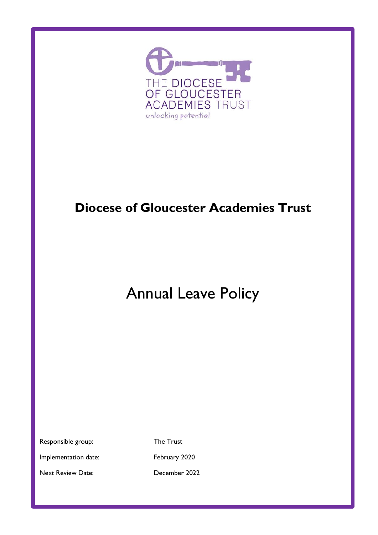

# **Diocese of Gloucester Academies Trust**

# Annual Leave Policy

Responsible group: The Trust

Implementation date: February 2020

Next Review Date: December 2022

Policy Review Date: December 2022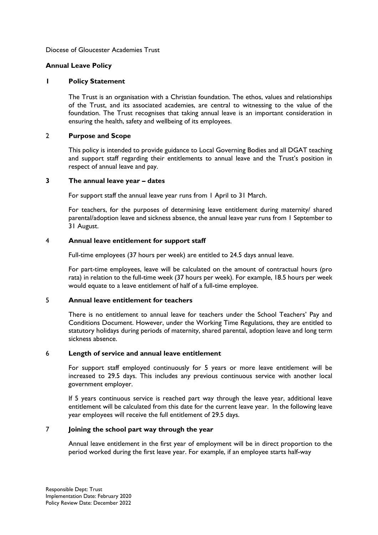#### Diocese of Gloucester Academies Trust

#### **Annual Leave Policy**

#### **1 Policy Statement**

The Trust is an organisation with a Christian foundation. The ethos, values and relationships of the Trust, and its associated academies, are central to witnessing to the value of the foundation. The Trust recognises that taking annual leave is an important consideration in ensuring the health, safety and wellbeing of its employees.

#### 2 **Purpose and Scope**

This policy is intended to provide guidance to Local Governing Bodies and all DGAT teaching and support staff regarding their entitlements to annual leave and the Trust's position in respect of annual leave and pay.

#### **3 The annual leave year – dates**

For support staff the annual leave year runs from 1 April to 31 March.

For teachers, for the purposes of determining leave entitlement during maternity/ shared parental/adoption leave and sickness absence, the annual leave year runs from 1 September to 31 August.

# 4 **Annual leave entitlement for support staff**

Full-time employees (37 hours per week) are entitled to 24.5 days annual leave.

For part-time employees, leave will be calculated on the amount of contractual hours (pro rata) in relation to the full-time week (37 hours per week). For example, 18.5 hours per week would equate to a leave entitlement of half of a full-time employee.

#### 5 **Annual leave entitlement for teachers**

There is no entitlement to annual leave for teachers under the School Teachers' Pay and Conditions Document. However, under the Working Time Regulations, they are entitled to statutory holidays during periods of maternity, shared parental, adoption leave and long term sickness absence.

#### 6 **Length of service and annual leave entitlement**

For support staff employed continuously for 5 years or more leave entitlement will be increased to 29.5 days. This includes any previous continuous service with another local government employer.

If 5 years continuous service is reached part way through the leave year, additional leave entitlement will be calculated from this date for the current leave year. In the following leave year employees will receive the full entitlement of 29.5 days.

# 7 **Joining the school part way through the year**

Annual leave entitlement in the first year of employment will be in direct proportion to the period worked during the first leave year. For example, if an employee starts half-way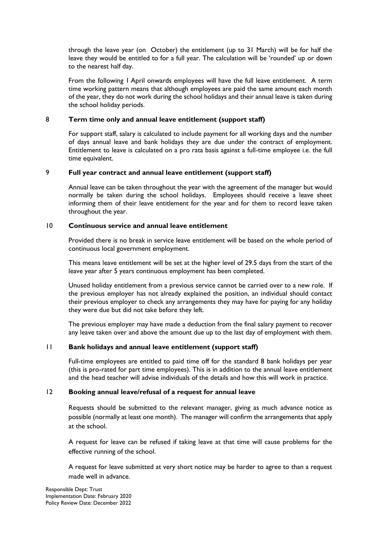through the leave year (on October) the entitlement (up to 31 March) will be for half the leave they would be entitled to for a full year. The calculation will be 'rounded' up or down to the nearest half day.

From the following 1 April onwards employees will have the full leave entitlement. A term time working pattern means that although employees are paid the same amount each month of the year, they do not work during the school holidays and their annual leave is taken during the school holiday periods.

# 8 **Term time only and annual leave entitlement (support staff)**

For support staff, salary is calculated to include payment for all working days and the number of days annual leave and bank holidays they are due under the contract of employment. Entitlement to leave is calculated on a pro rata basis against a full-time employee i.e. the full time equivalent.

# 9 **Full year contract and annual leave entitlement (support staff)**

Annual leave can be taken throughout the year with the agreement of the manager but would normally be taken during the school holidays. Employees should receive a leave sheet informing them of their leave entitlement for the year and for them to record leave taken throughout the year.

# 10 **Continuous service and annual leave entitlement**

Provided there is no break in service leave entitlement will be based on the whole period of continuous local government employment.

This means leave entitlement will be set at the higher level of 29.5 days from the start of the leave year after 5 years continuous employment has been completed.

Unused holiday entitlement from a previous service cannot be carried over to a new role. If the previous employer has not already explained the position, an individual should contact their previous employer to check any arrangements they may have for paying for any holiday they were due but did not take before they left.

The previous employer may have made a deduction from the final salary payment to recover any leave taken over and above the amount due up to the last day of employment with them.

#### 11 **Bank holidays and annual leave entitlement (support staff)**

Full-time employees are entitled to paid time off for the standard 8 bank holidays per year (this is pro-rated for part time employees). This is in addition to the annual leave entitlement and the head teacher will advise individuals of the details and how this will work in practice.

#### 12 **Booking annual leave/refusal of a request for annual leave**

Requests should be submitted to the relevant manager, giving as much advance notice as possible (normally at least one month). The manager will confirm the arrangements that apply at the school.

A request for leave can be refused if taking leave at that time will cause problems for the effective running of the school.

A request for leave submitted at very short notice may be harder to agree to than a request made well in advance.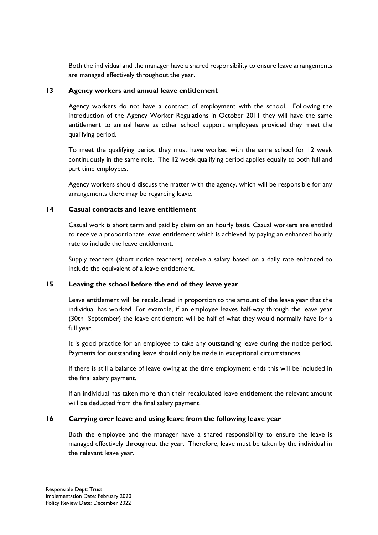Both the individual and the manager have a shared responsibility to ensure leave arrangements are managed effectively throughout the year.

# **13 Agency workers and annual leave entitlement**

Agency workers do not have a contract of employment with the school. Following the introduction of the Agency Worker Regulations in October 2011 they will have the same entitlement to annual leave as other school support employees provided they meet the qualifying period.

To meet the qualifying period they must have worked with the same school for 12 week continuously in the same role. The 12 week qualifying period applies equally to both full and part time employees.

Agency workers should discuss the matter with the agency, which will be responsible for any arrangements there may be regarding leave.

# **14 Casual contracts and leave entitlement**

Casual work is short term and paid by claim on an hourly basis. Casual workers are entitled to receive a proportionate leave entitlement which is achieved by paying an enhanced hourly rate to include the leave entitlement.

Supply teachers (short notice teachers) receive a salary based on a daily rate enhanced to include the equivalent of a leave entitlement.

# **15 Leaving the school before the end of they leave year**

Leave entitlement will be recalculated in proportion to the amount of the leave year that the individual has worked. For example, if an employee leaves half-way through the leave year (30th September) the leave entitlement will be half of what they would normally have for a full year.

It is good practice for an employee to take any outstanding leave during the notice period. Payments for outstanding leave should only be made in exceptional circumstances.

If there is still a balance of leave owing at the time employment ends this will be included in the final salary payment.

If an individual has taken more than their recalculated leave entitlement the relevant amount will be deducted from the final salary payment.

# **16 Carrying over leave and using leave from the following leave year**

Both the employee and the manager have a shared responsibility to ensure the leave is managed effectively throughout the year. Therefore, leave must be taken by the individual in the relevant leave year.